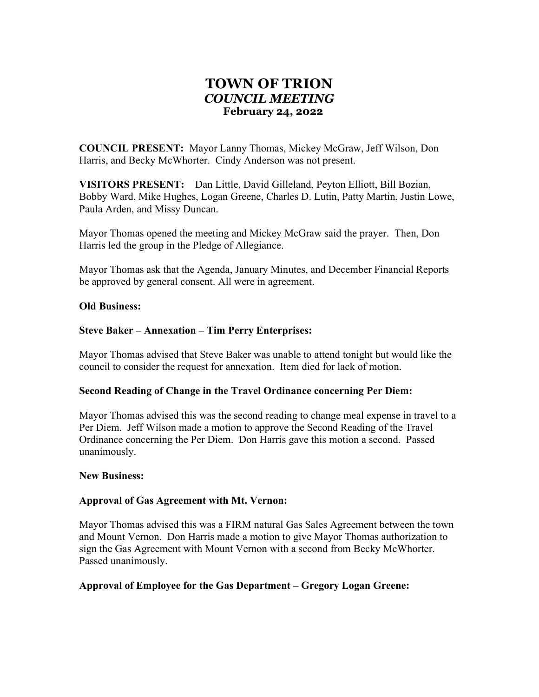# TOWN OF TRION COUNCIL MEETING February 24, 2022

COUNCIL PRESENT: Mayor Lanny Thomas, Mickey McGraw, Jeff Wilson, Don Harris, and Becky McWhorter. Cindy Anderson was not present.

VISITORS PRESENT: Dan Little, David Gilleland, Peyton Elliott, Bill Bozian, Bobby Ward, Mike Hughes, Logan Greene, Charles D. Lutin, Patty Martin, Justin Lowe, Paula Arden, and Missy Duncan.

Mayor Thomas opened the meeting and Mickey McGraw said the prayer. Then, Don Harris led the group in the Pledge of Allegiance.

Mayor Thomas ask that the Agenda, January Minutes, and December Financial Reports be approved by general consent. All were in agreement.

## Old Business:

## Steve Baker – Annexation – Tim Perry Enterprises:

Mayor Thomas advised that Steve Baker was unable to attend tonight but would like the council to consider the request for annexation. Item died for lack of motion.

#### Second Reading of Change in the Travel Ordinance concerning Per Diem:

Mayor Thomas advised this was the second reading to change meal expense in travel to a Per Diem. Jeff Wilson made a motion to approve the Second Reading of the Travel Ordinance concerning the Per Diem. Don Harris gave this motion a second. Passed unanimously.

#### New Business:

## Approval of Gas Agreement with Mt. Vernon:

Mayor Thomas advised this was a FIRM natural Gas Sales Agreement between the town and Mount Vernon. Don Harris made a motion to give Mayor Thomas authorization to sign the Gas Agreement with Mount Vernon with a second from Becky McWhorter. Passed unanimously.

## Approval of Employee for the Gas Department – Gregory Logan Greene: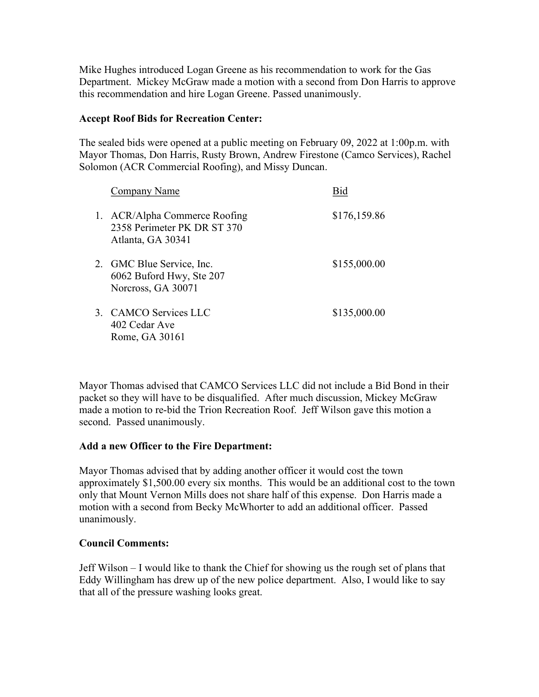Mike Hughes introduced Logan Greene as his recommendation to work for the Gas Department. Mickey McGraw made a motion with a second from Don Harris to approve this recommendation and hire Logan Greene. Passed unanimously.

## Accept Roof Bids for Recreation Center:

The sealed bids were opened at a public meeting on February 09, 2022 at 1:00p.m. with Mayor Thomas, Don Harris, Rusty Brown, Andrew Firestone (Camco Services), Rachel Solomon (ACR Commercial Roofing), and Missy Duncan.

| Company Name                                                                      | Bid          |
|-----------------------------------------------------------------------------------|--------------|
| 1. ACR/Alpha Commerce Roofing<br>2358 Perimeter PK DR ST 370<br>Atlanta, GA 30341 | \$176,159.86 |
| 2. GMC Blue Service, Inc.<br>6062 Buford Hwy, Ste 207<br>Norcross, GA 30071       | \$155,000.00 |
| 3. CAMCO Services LLC<br>402 Cedar Ave<br>Rome, GA 30161                          | \$135,000.00 |

Mayor Thomas advised that CAMCO Services LLC did not include a Bid Bond in their packet so they will have to be disqualified. After much discussion, Mickey McGraw made a motion to re-bid the Trion Recreation Roof. Jeff Wilson gave this motion a second. Passed unanimously.

## Add a new Officer to the Fire Department:

Mayor Thomas advised that by adding another officer it would cost the town approximately \$1,500.00 every six months. This would be an additional cost to the town only that Mount Vernon Mills does not share half of this expense. Don Harris made a motion with a second from Becky McWhorter to add an additional officer. Passed unanimously.

## Council Comments:

Jeff Wilson – I would like to thank the Chief for showing us the rough set of plans that Eddy Willingham has drew up of the new police department. Also, I would like to say that all of the pressure washing looks great.